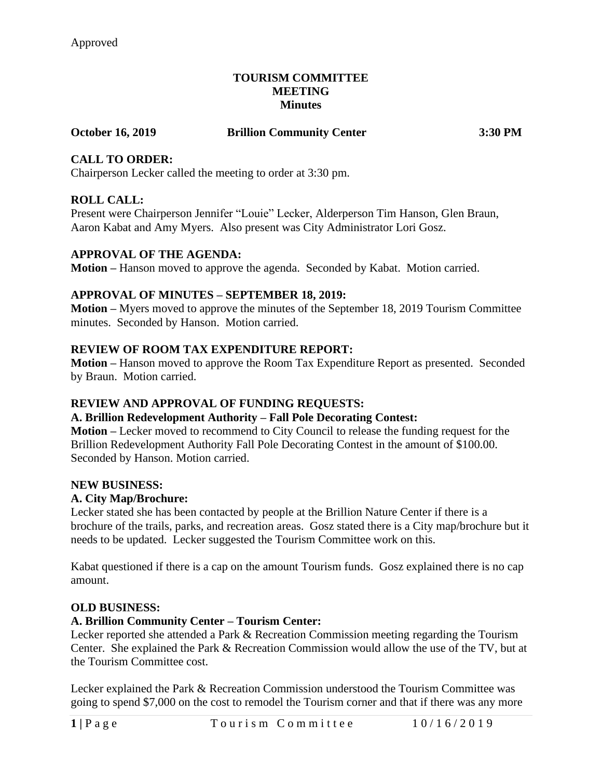#### **TOURISM COMMITTEE MEETING Minutes**

## **October 16, 2019 Brillion Community Center 3:30 PM**

# **CALL TO ORDER:**

Chairperson Lecker called the meeting to order at 3:30 pm.

## **ROLL CALL:**

Present were Chairperson Jennifer "Louie" Lecker, Alderperson Tim Hanson, Glen Braun, Aaron Kabat and Amy Myers. Also present was City Administrator Lori Gosz.

### **APPROVAL OF THE AGENDA:**

**Motion –** Hanson moved to approve the agenda. Seconded by Kabat. Motion carried.

### **APPROVAL OF MINUTES – SEPTEMBER 18, 2019:**

**Motion –** Myers moved to approve the minutes of the September 18, 2019 Tourism Committee minutes. Seconded by Hanson. Motion carried.

### **REVIEW OF ROOM TAX EXPENDITURE REPORT:**

**Motion –** Hanson moved to approve the Room Tax Expenditure Report as presented. Seconded by Braun. Motion carried.

## **REVIEW AND APPROVAL OF FUNDING REQUESTS:**

#### **A. Brillion Redevelopment Authority – Fall Pole Decorating Contest:**

**Motion –** Lecker moved to recommend to City Council to release the funding request for the Brillion Redevelopment Authority Fall Pole Decorating Contest in the amount of \$100.00. Seconded by Hanson. Motion carried.

#### **NEW BUSINESS:**

#### **A. City Map/Brochure:**

Lecker stated she has been contacted by people at the Brillion Nature Center if there is a brochure of the trails, parks, and recreation areas. Gosz stated there is a City map/brochure but it needs to be updated. Lecker suggested the Tourism Committee work on this.

Kabat questioned if there is a cap on the amount Tourism funds. Gosz explained there is no cap amount.

#### **OLD BUSINESS:**

#### **A. Brillion Community Center – Tourism Center:**

Lecker reported she attended a Park & Recreation Commission meeting regarding the Tourism Center. She explained the Park & Recreation Commission would allow the use of the TV, but at the Tourism Committee cost.

Lecker explained the Park & Recreation Commission understood the Tourism Committee was going to spend \$7,000 on the cost to remodel the Tourism corner and that if there was any more